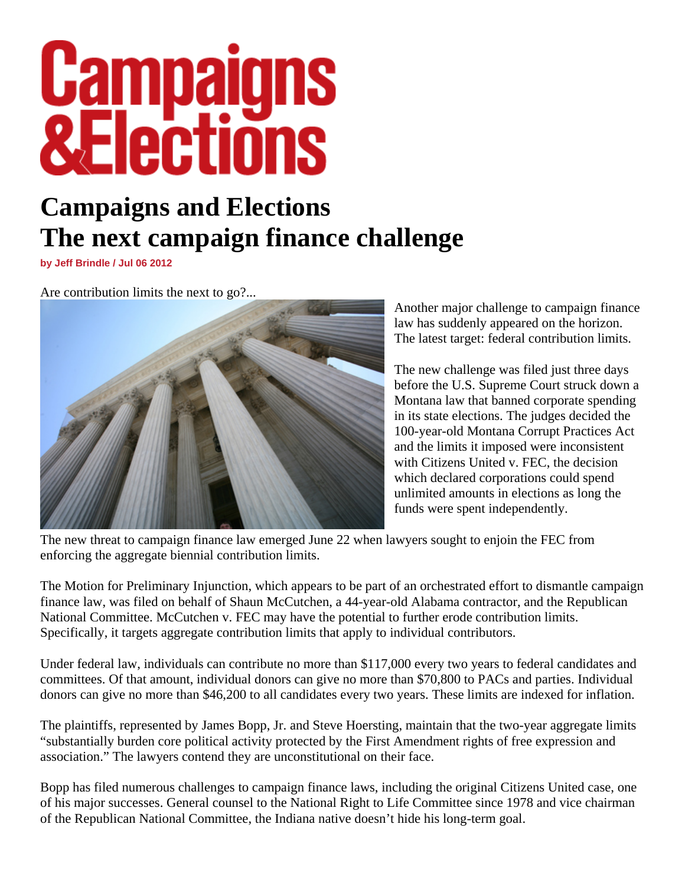## **Campaigns<br>&Elections**

## **Campaigns and Elections The next campaign finance challenge**

**by Jeff Brindle / Jul 06 2012** 

Are contribution limits the next to go?...



Another major challenge to campaign finance law has suddenly appeared on the horizon. The latest target: federal contribution limits.

The new challenge was filed just three days before the U.S. Supreme Court struck down a Montana law that banned corporate spending in its state elections. The judges decided the 100-year-old Montana Corrupt Practices Act and the limits it imposed were inconsistent with Citizens United v. FEC, the decision which declared corporations could spend unlimited amounts in elections as long the funds were spent independently.

The new threat to campaign finance law emerged June 22 when lawyers sought to enjoin the FEC from enforcing the aggregate biennial contribution limits.

The Motion for Preliminary Injunction, which appears to be part of an orchestrated effort to dismantle campaign finance law, was filed on behalf of Shaun McCutchen, a 44-year-old Alabama contractor, and the Republican National Committee. McCutchen v. FEC may have the potential to further erode contribution limits. Specifically, it targets aggregate contribution limits that apply to individual contributors.

Under federal law, individuals can contribute no more than \$117,000 every two years to federal candidates and committees. Of that amount, individual donors can give no more than \$70,800 to PACs and parties. Individual donors can give no more than \$46,200 to all candidates every two years. These limits are indexed for inflation.

The plaintiffs, represented by James Bopp, Jr. and Steve Hoersting, maintain that the two-year aggregate limits "substantially burden core political activity protected by the First Amendment rights of free expression and association." The lawyers contend they are unconstitutional on their face.

Bopp has filed numerous challenges to campaign finance laws, including the original Citizens United case, one of his major successes. General counsel to the National Right to Life Committee since 1978 and vice chairman of the Republican National Committee, the Indiana native doesn't hide his long-term goal.